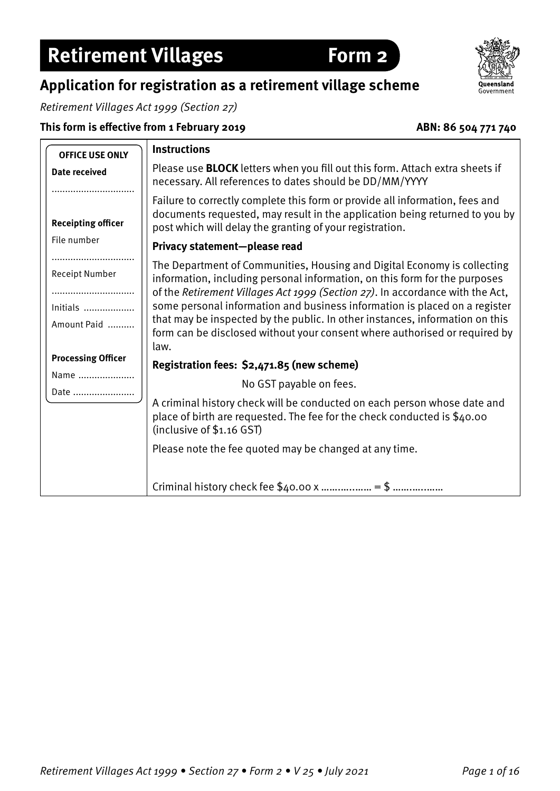## **Application for registration as a retirement village scheme**

Retirement Villages Act 1999 (Section 27)

**This form is effective from 1 February 2019**



**Form 2** 

| Retirement Villages |  |
|---------------------|--|
|                     |  |

| <b>OFFICE USE ONLY</b>    | <b>Instructions</b>                                                                                                                                                                                                                     |
|---------------------------|-----------------------------------------------------------------------------------------------------------------------------------------------------------------------------------------------------------------------------------------|
| <b>Date received</b>      | Please use <b>BLOCK</b> letters when you fill out this form. Attach extra sheets if<br>necessary. All references to dates should be DD/MM/YYYY                                                                                          |
| <b>Receipting officer</b> | Failure to correctly complete this form or provide all information, fees and<br>documents requested, may result in the application being returned to you by<br>post which will delay the granting of your registration.                 |
| File number               | Privacy statement-please read                                                                                                                                                                                                           |
| Receipt Number            | The Department of Communities, Housing and Digital Economy is collecting<br>information, including personal information, on this form for the purposes<br>of the Retirement Villages Act 1999 (Section 27). In accordance with the Act, |
| Initials                  | some personal information and business information is placed on a register                                                                                                                                                              |
| Amount Paid               | that may be inspected by the public. In other instances, information on this<br>form can be disclosed without your consent where authorised or required by<br>law.                                                                      |
| <b>Processing Officer</b> | Registration fees: \$2,471.85 (new scheme)                                                                                                                                                                                              |
| Name                      | No GST payable on fees.                                                                                                                                                                                                                 |
| Date                      | A criminal history check will be conducted on each person whose date and<br>place of birth are requested. The fee for the check conducted is \$40.00<br>(inclusive of \$1.16 GST)                                                       |
|                           | Please note the fee quoted may be changed at any time.                                                                                                                                                                                  |
|                           |                                                                                                                                                                                                                                         |

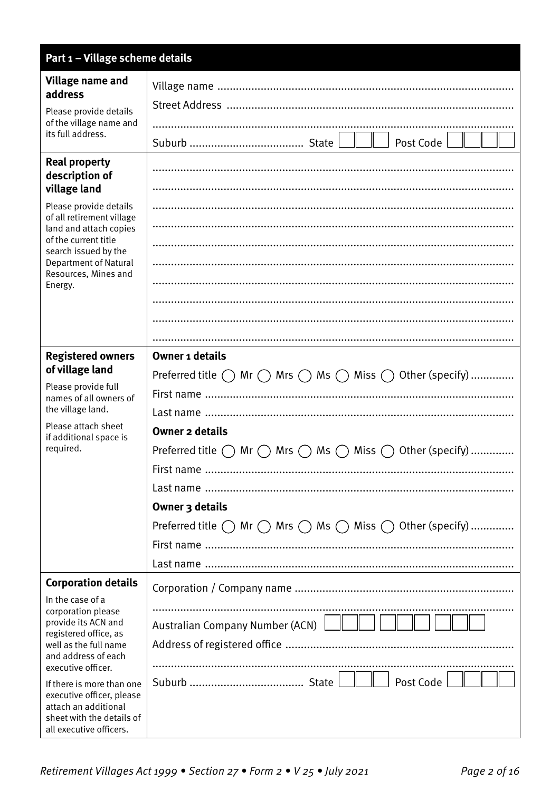| Part 1 - Village scheme details                                                                           |                                                                                                       |
|-----------------------------------------------------------------------------------------------------------|-------------------------------------------------------------------------------------------------------|
| Village name and<br>address                                                                               |                                                                                                       |
| Please provide details<br>of the village name and<br>its full address.                                    |                                                                                                       |
|                                                                                                           |                                                                                                       |
|                                                                                                           |                                                                                                       |
| <b>Real property</b><br>description of                                                                    |                                                                                                       |
| village land                                                                                              |                                                                                                       |
| Please provide details                                                                                    |                                                                                                       |
| of all retirement village<br>land and attach copies                                                       |                                                                                                       |
| of the current title<br>search issued by the                                                              |                                                                                                       |
| <b>Department of Natural</b><br>Resources, Mines and                                                      |                                                                                                       |
| Energy.                                                                                                   |                                                                                                       |
|                                                                                                           |                                                                                                       |
|                                                                                                           |                                                                                                       |
|                                                                                                           |                                                                                                       |
| <b>Registered owners</b><br>of village land                                                               | <b>Owner 1 details</b>                                                                                |
| Please provide full                                                                                       | Preferred title $\bigcirc$ Mr $\bigcirc$ Mrs $\bigcirc$ Ms $\bigcirc$ Miss $\bigcirc$ Other (specify) |
| names of all owners of                                                                                    |                                                                                                       |
| the village land.<br>Please attach sheet                                                                  |                                                                                                       |
| if additional space is                                                                                    | <b>Owner 2 details</b>                                                                                |
| required.                                                                                                 | Preferred title $\bigcap$ Mr $\bigcap$ Mrs $\bigcap$ Ms $\bigcap$ Miss $\bigcap$ Other (specify)      |
|                                                                                                           | First name                                                                                            |
|                                                                                                           |                                                                                                       |
|                                                                                                           | Owner 3 details                                                                                       |
|                                                                                                           | Preferred title $\bigcirc$ Mr $\bigcirc$ Mrs $\bigcirc$ Ms $\bigcirc$ Miss $\bigcirc$ Other (specify) |
|                                                                                                           |                                                                                                       |
|                                                                                                           |                                                                                                       |
| <b>Corporation details</b>                                                                                |                                                                                                       |
| In the case of a<br>corporation please                                                                    |                                                                                                       |
| provide its ACN and<br>registered office, as                                                              | Australian Company Number (ACN)                                                                       |
| well as the full name                                                                                     |                                                                                                       |
| and address of each<br>executive officer.                                                                 |                                                                                                       |
| If there is more than one                                                                                 | Post Code                                                                                             |
| executive officer, please<br>attach an additional<br>sheet with the details of<br>all executive officers. |                                                                                                       |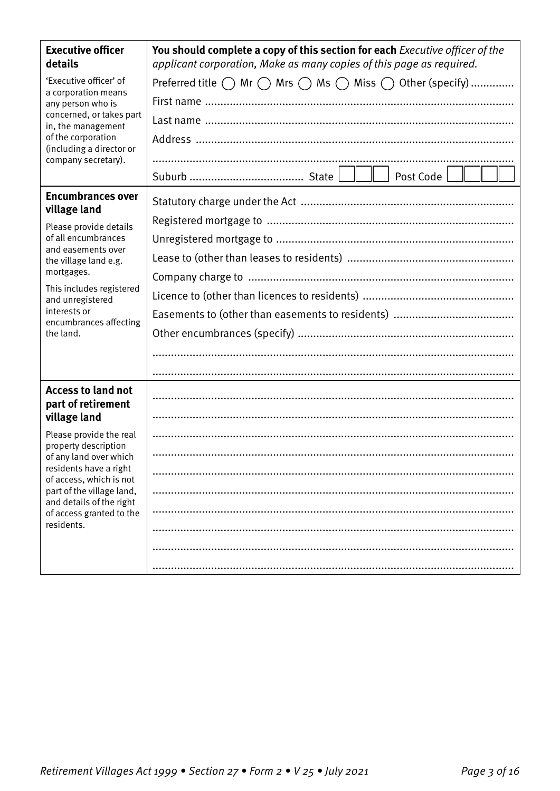| <b>Executive officer</b><br>details                                                                                                                  | You should complete a copy of this section for each Executive officer of the<br>applicant corporation, Make as many copies of this page as required. |
|------------------------------------------------------------------------------------------------------------------------------------------------------|------------------------------------------------------------------------------------------------------------------------------------------------------|
| 'Executive officer' of<br>a corporation means<br>any person who is                                                                                   | Preferred title $\bigcirc$ Mr $\bigcirc$ Mrs $\bigcirc$ Ms $\bigcirc$ Miss $\bigcirc$ Other (specify)                                                |
|                                                                                                                                                      |                                                                                                                                                      |
| concerned, or takes part<br>in, the management                                                                                                       |                                                                                                                                                      |
| of the corporation<br>(including a director or                                                                                                       |                                                                                                                                                      |
| company secretary).                                                                                                                                  |                                                                                                                                                      |
|                                                                                                                                                      |                                                                                                                                                      |
| <b>Encumbrances over</b><br>village land                                                                                                             |                                                                                                                                                      |
| Please provide details                                                                                                                               |                                                                                                                                                      |
| of all encumbrances                                                                                                                                  |                                                                                                                                                      |
| and easements over<br>the village land e.g.                                                                                                          |                                                                                                                                                      |
| mortgages.                                                                                                                                           |                                                                                                                                                      |
| This includes registered<br>and unregistered                                                                                                         |                                                                                                                                                      |
| interests or<br>encumbrances affecting                                                                                                               |                                                                                                                                                      |
| the land.                                                                                                                                            |                                                                                                                                                      |
|                                                                                                                                                      |                                                                                                                                                      |
|                                                                                                                                                      |                                                                                                                                                      |
| <b>Access to land not</b><br>part of retirement                                                                                                      |                                                                                                                                                      |
| village land                                                                                                                                         |                                                                                                                                                      |
| Please provide the real<br>property description                                                                                                      |                                                                                                                                                      |
| of any land over which                                                                                                                               |                                                                                                                                                      |
| residents have a right<br>of access, which is not<br>part of the village land,<br>and details of the right<br>of access granted to the<br>residents. |                                                                                                                                                      |
|                                                                                                                                                      |                                                                                                                                                      |
|                                                                                                                                                      |                                                                                                                                                      |
|                                                                                                                                                      |                                                                                                                                                      |
|                                                                                                                                                      |                                                                                                                                                      |
|                                                                                                                                                      |                                                                                                                                                      |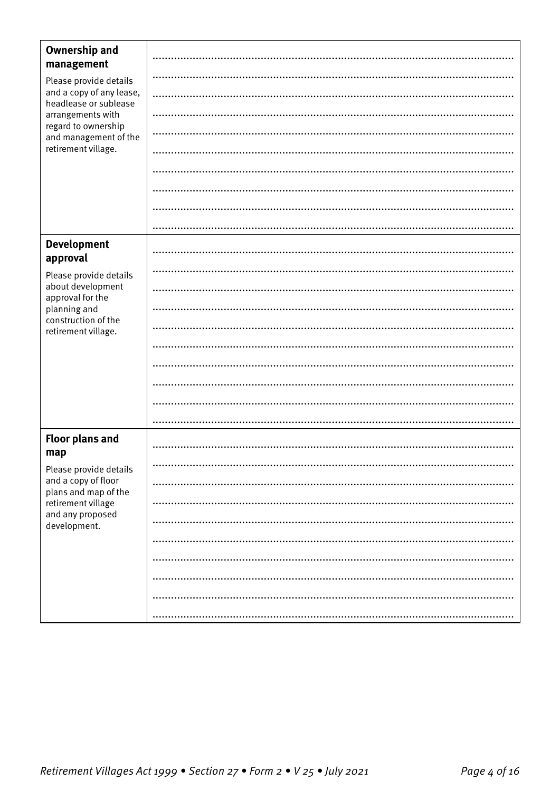| <b>Ownership and</b><br>management                                                                                                                                      |  |
|-------------------------------------------------------------------------------------------------------------------------------------------------------------------------|--|
| Please provide details<br>and a copy of any lease,<br>headlease or sublease<br>arrangements with<br>regard to ownership<br>and management of the<br>retirement village. |  |
|                                                                                                                                                                         |  |
|                                                                                                                                                                         |  |
|                                                                                                                                                                         |  |
|                                                                                                                                                                         |  |
|                                                                                                                                                                         |  |
|                                                                                                                                                                         |  |
|                                                                                                                                                                         |  |
|                                                                                                                                                                         |  |
| <b>Development</b><br>approval                                                                                                                                          |  |
| Please provide details                                                                                                                                                  |  |
| about development<br>approval for the                                                                                                                                   |  |
| planning and                                                                                                                                                            |  |
| construction of the<br>retirement village.                                                                                                                              |  |
|                                                                                                                                                                         |  |
|                                                                                                                                                                         |  |
|                                                                                                                                                                         |  |
|                                                                                                                                                                         |  |
|                                                                                                                                                                         |  |
| <b>Floor plans and</b><br>map                                                                                                                                           |  |
| Please provide details                                                                                                                                                  |  |
| and a copy of floor<br>plans and map of the                                                                                                                             |  |
| retirement village<br>and any proposed<br>development.                                                                                                                  |  |
|                                                                                                                                                                         |  |
|                                                                                                                                                                         |  |
|                                                                                                                                                                         |  |
|                                                                                                                                                                         |  |
|                                                                                                                                                                         |  |
|                                                                                                                                                                         |  |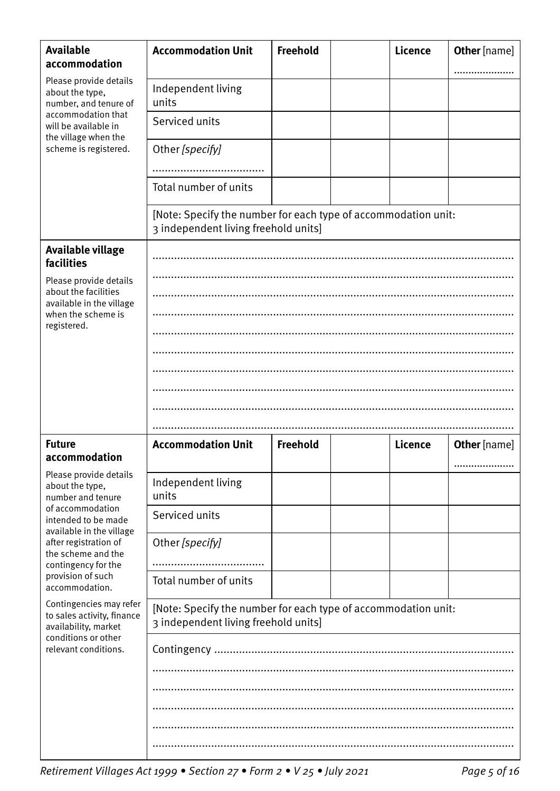| <b>Available</b><br>accommodation                                                                                            | <b>Accommodation Unit</b>                                                                              | <b>Freehold</b> |  | <b>Licence</b> | <b>Other</b> [name] |  |
|------------------------------------------------------------------------------------------------------------------------------|--------------------------------------------------------------------------------------------------------|-----------------|--|----------------|---------------------|--|
| Please provide details<br>about the type,<br>number, and tenure of<br>accommodation that<br>will be available in             | Independent living<br>units                                                                            |                 |  |                |                     |  |
|                                                                                                                              | Serviced units                                                                                         |                 |  |                |                     |  |
| the village when the<br>scheme is registered.                                                                                | Other [specify]                                                                                        |                 |  |                |                     |  |
|                                                                                                                              |                                                                                                        |                 |  |                |                     |  |
|                                                                                                                              | Total number of units                                                                                  |                 |  |                |                     |  |
|                                                                                                                              | [Note: Specify the number for each type of accommodation unit:<br>3 independent living freehold units] |                 |  |                |                     |  |
| Available village<br>facilities                                                                                              |                                                                                                        |                 |  |                |                     |  |
| Please provide details<br>about the facilities                                                                               |                                                                                                        |                 |  |                |                     |  |
| available in the village                                                                                                     |                                                                                                        |                 |  |                |                     |  |
| when the scheme is<br>registered.                                                                                            |                                                                                                        |                 |  |                |                     |  |
|                                                                                                                              |                                                                                                        |                 |  |                |                     |  |
|                                                                                                                              |                                                                                                        |                 |  |                |                     |  |
|                                                                                                                              |                                                                                                        |                 |  |                |                     |  |
|                                                                                                                              |                                                                                                        |                 |  |                |                     |  |
|                                                                                                                              |                                                                                                        |                 |  |                |                     |  |
|                                                                                                                              |                                                                                                        |                 |  |                |                     |  |
| <b>Future</b><br>accommodation                                                                                               | <b>Accommodation Unit</b>                                                                              | Freehold        |  | <b>Licence</b> | <b>Other</b> [name] |  |
| Please provide details                                                                                                       |                                                                                                        |                 |  |                |                     |  |
| about the type,<br>number and tenure                                                                                         | Independent living<br>units                                                                            |                 |  |                |                     |  |
| of accommodation<br>intended to be made<br>available in the village                                                          | Serviced units                                                                                         |                 |  |                |                     |  |
| after registration of<br>the scheme and the                                                                                  | Other [specify]                                                                                        |                 |  |                |                     |  |
| contingency for the<br>provision of such                                                                                     |                                                                                                        |                 |  |                |                     |  |
| accommodation.                                                                                                               | Total number of units                                                                                  |                 |  |                |                     |  |
| Contingencies may refer<br>to sales activity, finance<br>availability, market<br>conditions or other<br>relevant conditions. | [Note: Specify the number for each type of accommodation unit:<br>3 independent living freehold units] |                 |  |                |                     |  |
|                                                                                                                              |                                                                                                        |                 |  |                |                     |  |
|                                                                                                                              |                                                                                                        |                 |  |                |                     |  |
|                                                                                                                              |                                                                                                        |                 |  |                |                     |  |
|                                                                                                                              |                                                                                                        |                 |  |                |                     |  |
|                                                                                                                              |                                                                                                        |                 |  |                |                     |  |
|                                                                                                                              |                                                                                                        |                 |  |                |                     |  |

Retirement Villages Act 1999 • Section 27 • Form 2 • V 25 • July 2021 Page 5 of 16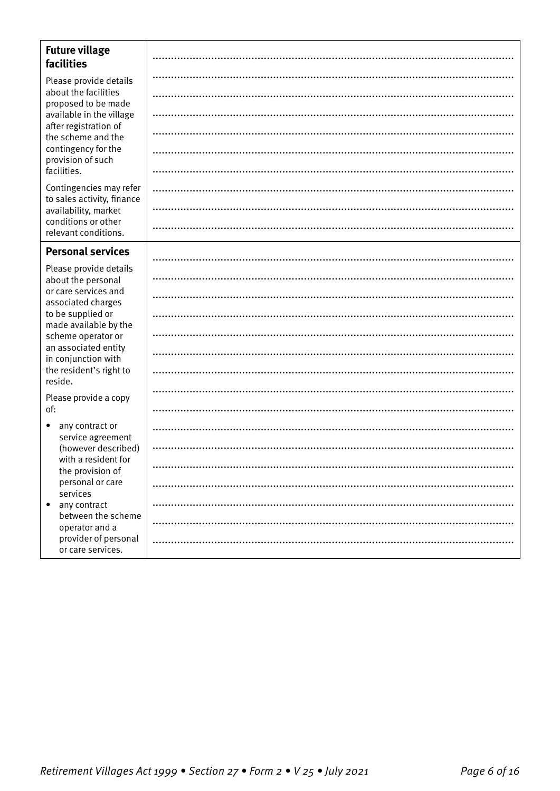| <b>Future village</b><br>facilities                   |  |
|-------------------------------------------------------|--|
| Please provide details                                |  |
| about the facilities<br>proposed to be made           |  |
| available in the village<br>after registration of     |  |
| the scheme and the                                    |  |
| contingency for the<br>provision of such              |  |
| facilities.                                           |  |
| Contingencies may refer<br>to sales activity, finance |  |
| availability, market                                  |  |
| conditions or other<br>relevant conditions.           |  |
| <b>Personal services</b>                              |  |
| Please provide details                                |  |
| about the personal<br>or care services and            |  |
| associated charges                                    |  |
| to be supplied or<br>made available by the            |  |
| scheme operator or                                    |  |
| an associated entity<br>in conjunction with           |  |
| the resident's right to<br>reside.                    |  |
| Please provide a copy                                 |  |
| of:                                                   |  |
| any contract or<br>$\bullet$<br>service agreement     |  |
| (however described)                                   |  |
| with a resident for<br>the provision of               |  |
| personal or care<br>services                          |  |
| any contract<br>$\bullet$                             |  |
| between the scheme<br>operator and a                  |  |
| provider of personal<br>or care services.             |  |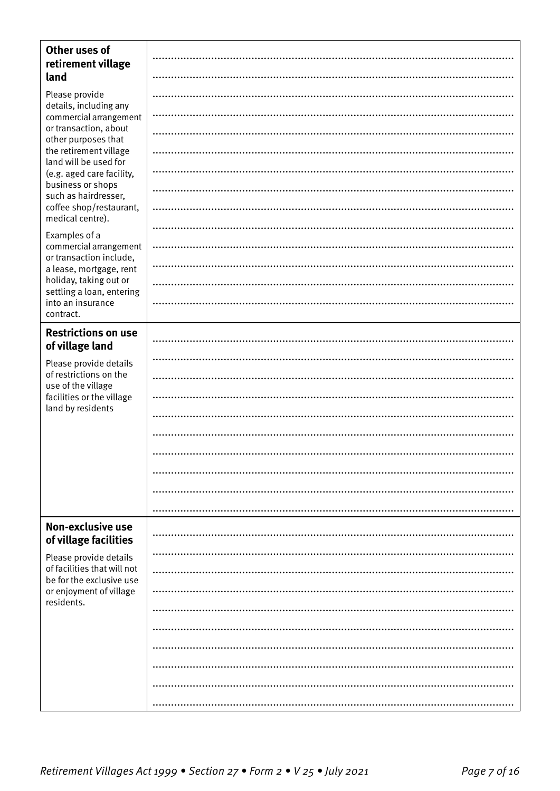| Other uses of<br>retirement village                                |  |
|--------------------------------------------------------------------|--|
| land                                                               |  |
| Please provide<br>details, including any<br>commercial arrangement |  |
|                                                                    |  |
| or transaction, about<br>other purposes that                       |  |
| the retirement village<br>land will be used for                    |  |
| (e.g. aged care facility,                                          |  |
| business or shops<br>such as hairdresser,                          |  |
| coffee shop/restaurant,<br>medical centre).                        |  |
| Examples of a                                                      |  |
| commercial arrangement<br>or transaction include,                  |  |
| a lease, mortgage, rent                                            |  |
| holiday, taking out or<br>settling a loan, entering                |  |
| into an insurance<br>contract.                                     |  |
| <b>Restrictions on use</b>                                         |  |
| of village land                                                    |  |
| Please provide details<br>of restrictions on the                   |  |
| use of the village                                                 |  |
| facilities or the village                                          |  |
| land by residents                                                  |  |
|                                                                    |  |
|                                                                    |  |
|                                                                    |  |
|                                                                    |  |
|                                                                    |  |
| Non-exclusive use<br>of village facilities                         |  |
| Please provide details                                             |  |
| of facilities that will not<br>be for the exclusive use            |  |
| or enjoyment of village<br>residents.                              |  |
|                                                                    |  |
|                                                                    |  |
|                                                                    |  |
|                                                                    |  |
|                                                                    |  |
|                                                                    |  |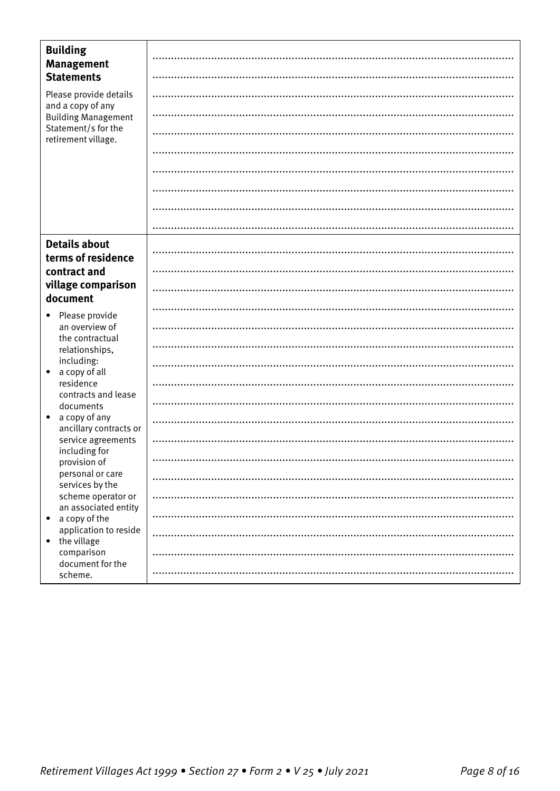| <b>Building</b><br><b>Management</b>                 |  |
|------------------------------------------------------|--|
| <b>Statements</b>                                    |  |
| Please provide details<br>and a copy of any          |  |
| <b>Building Management</b>                           |  |
| Statement/s for the<br>retirement village.           |  |
|                                                      |  |
|                                                      |  |
|                                                      |  |
|                                                      |  |
|                                                      |  |
| <b>Details about</b><br>terms of residence           |  |
| contract and                                         |  |
| village comparison<br>document                       |  |
|                                                      |  |
| Please provide<br>$\bullet$<br>an overview of        |  |
| the contractual<br>relationships,                    |  |
| including:<br>a copy of all<br>$\bullet$             |  |
| residence                                            |  |
| contracts and lease<br>documents                     |  |
| a copy of any<br>$\bullet$<br>ancillary contracts or |  |
| service agreements<br>including for                  |  |
| provision of                                         |  |
| personal or care<br>services by the                  |  |
| scheme operator or<br>an associated entity           |  |
| a copy of the<br>$\bullet$                           |  |
| application to reside<br>the village<br>$\bullet$    |  |
| comparison<br>document for the                       |  |
| scheme.                                              |  |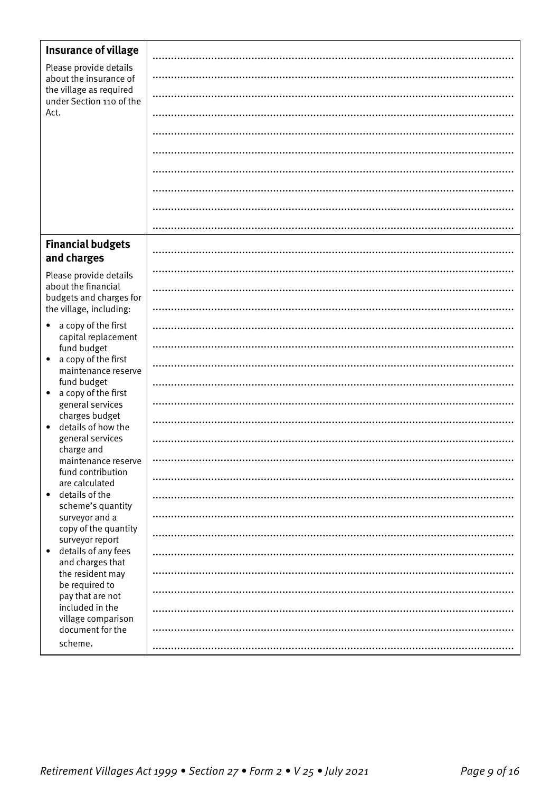| <b>Insurance of village</b>                             |  |
|---------------------------------------------------------|--|
| Please provide details                                  |  |
| about the insurance of                                  |  |
| the village as required<br>under Section 110 of the     |  |
| Act.                                                    |  |
|                                                         |  |
|                                                         |  |
|                                                         |  |
|                                                         |  |
|                                                         |  |
|                                                         |  |
| <b>Financial budgets</b><br>and charges                 |  |
| Please provide details                                  |  |
| about the financial<br>budgets and charges for          |  |
| the village, including:                                 |  |
| a copy of the first<br>$\bullet$                        |  |
| capital replacement<br>fund budget                      |  |
| a copy of the first<br>$\bullet$<br>maintenance reserve |  |
| fund budget<br>a copy of the first<br>$\bullet$         |  |
| general services                                        |  |
| charges budget<br>details of how the<br>$\bullet$       |  |
| general services                                        |  |
| charge and<br>maintenance reserve                       |  |
| fund contribution<br>are calculated                     |  |
| details of the<br>$\bullet$<br>scheme's quantity        |  |
| surveyor and a                                          |  |
| copy of the quantity<br>surveyor report                 |  |
| details of any fees<br>$\bullet$                        |  |
| and charges that<br>the resident may                    |  |
| be required to                                          |  |
| pay that are not<br>included in the                     |  |
| village comparison                                      |  |
| document for the<br>scheme.                             |  |
|                                                         |  |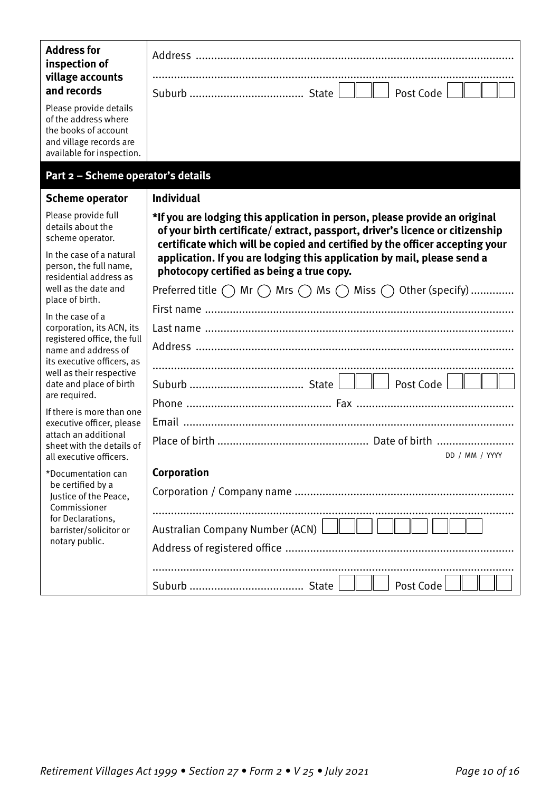| <b>Address for</b><br>inspection of<br>village accounts<br>and records                                                         |                                                                                                                                                                                                                                            |
|--------------------------------------------------------------------------------------------------------------------------------|--------------------------------------------------------------------------------------------------------------------------------------------------------------------------------------------------------------------------------------------|
| Please provide details<br>of the address where<br>the books of account<br>and village records are<br>available for inspection. |                                                                                                                                                                                                                                            |
| Part 2 - Scheme operator's details                                                                                             |                                                                                                                                                                                                                                            |
| <b>Scheme operator</b>                                                                                                         | <b>Individual</b>                                                                                                                                                                                                                          |
| Please provide full<br>details about the<br>scheme operator.                                                                   | *If you are lodging this application in person, please provide an original<br>of your birth certificate/extract, passport, driver's licence or citizenship<br>certificate which will be copied and certified by the officer accepting your |
| In the case of a natural<br>person, the full name,<br>residential address as                                                   | application. If you are lodging this application by mail, please send a<br>photocopy certified as being a true copy.                                                                                                                       |
| well as the date and<br>place of birth.                                                                                        | Preferred title $\bigcirc$ Mr $\bigcirc$ Mrs $\bigcirc$ Ms $\bigcirc$ Miss $\bigcirc$ Other (specify)                                                                                                                                      |
| In the case of a                                                                                                               |                                                                                                                                                                                                                                            |
| corporation, its ACN, its<br>registered office, the full                                                                       |                                                                                                                                                                                                                                            |
| name and address of<br>its executive officers, as                                                                              |                                                                                                                                                                                                                                            |
| well as their respective                                                                                                       |                                                                                                                                                                                                                                            |
| date and place of birth<br>are required.                                                                                       |                                                                                                                                                                                                                                            |
| If there is more than one<br>executive officer, please                                                                         |                                                                                                                                                                                                                                            |
| attach an additional                                                                                                           |                                                                                                                                                                                                                                            |
| sheet with the details of<br>all executive officers.                                                                           | DD / MM / YYYY                                                                                                                                                                                                                             |
| *Documentation can                                                                                                             | Corporation                                                                                                                                                                                                                                |
| be certified by a<br>Justice of the Peace,                                                                                     |                                                                                                                                                                                                                                            |
| Commissioner<br>for Declarations,                                                                                              |                                                                                                                                                                                                                                            |
| barrister/solicitor or<br>notary public.                                                                                       | Australian Company Number (ACN)                                                                                                                                                                                                            |
|                                                                                                                                |                                                                                                                                                                                                                                            |
|                                                                                                                                |                                                                                                                                                                                                                                            |
|                                                                                                                                | Post Code                                                                                                                                                                                                                                  |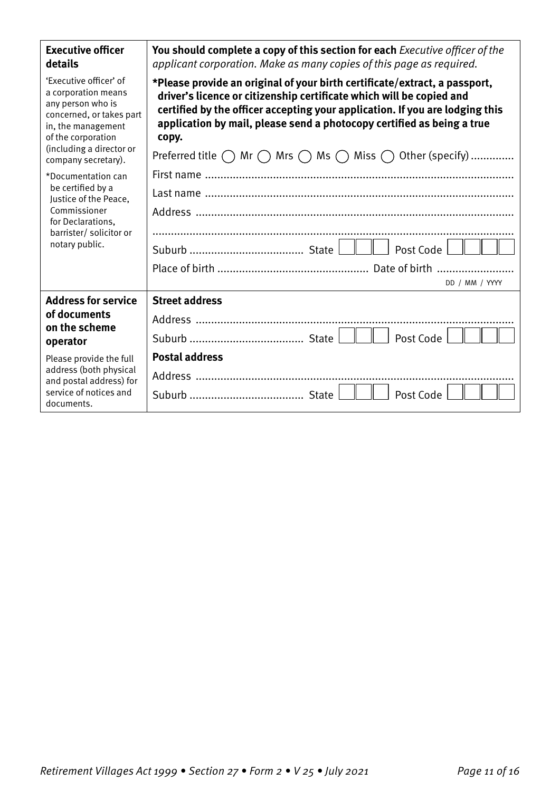| <b>Executive officer</b><br>details                                                                                                                                                           | You should complete a copy of this section for each Executive officer of the<br>applicant corporation. Make as many copies of this page as required.                                                                                                                                                                  |
|-----------------------------------------------------------------------------------------------------------------------------------------------------------------------------------------------|-----------------------------------------------------------------------------------------------------------------------------------------------------------------------------------------------------------------------------------------------------------------------------------------------------------------------|
| 'Executive officer' of<br>a corporation means<br>any person who is<br>concerned, or takes part<br>in, the management<br>of the corporation<br>(including a director or<br>company secretary). | *Please provide an original of your birth certificate/extract, a passport,<br>driver's licence or citizenship certificate which will be copied and<br>certified by the officer accepting your application. If you are lodging this<br>application by mail, please send a photocopy certified as being a true<br>copy. |
|                                                                                                                                                                                               | Preferred title $\bigcap$ Mr $\bigcap$ Mrs $\bigcap$ Ms $\bigcap$ Miss $\bigcap$ Other (specify)                                                                                                                                                                                                                      |
| *Documentation can<br>be certified by a<br>Justice of the Peace,<br>Commissioner<br>for Declarations,<br>barrister/ solicitor or<br>notary public.                                            |                                                                                                                                                                                                                                                                                                                       |
|                                                                                                                                                                                               |                                                                                                                                                                                                                                                                                                                       |
|                                                                                                                                                                                               |                                                                                                                                                                                                                                                                                                                       |
|                                                                                                                                                                                               | Post Code                                                                                                                                                                                                                                                                                                             |
|                                                                                                                                                                                               |                                                                                                                                                                                                                                                                                                                       |
|                                                                                                                                                                                               | DD / MM / YYYY                                                                                                                                                                                                                                                                                                        |
| <b>Address for service</b>                                                                                                                                                                    | <b>Street address</b>                                                                                                                                                                                                                                                                                                 |
| of documents<br>on the scheme<br>operator                                                                                                                                                     |                                                                                                                                                                                                                                                                                                                       |
|                                                                                                                                                                                               | Post Code                                                                                                                                                                                                                                                                                                             |
| Please provide the full                                                                                                                                                                       | <b>Postal address</b>                                                                                                                                                                                                                                                                                                 |
| address (both physical<br>and postal address) for<br>service of notices and<br>documents.                                                                                                     |                                                                                                                                                                                                                                                                                                                       |
|                                                                                                                                                                                               | Post Code                                                                                                                                                                                                                                                                                                             |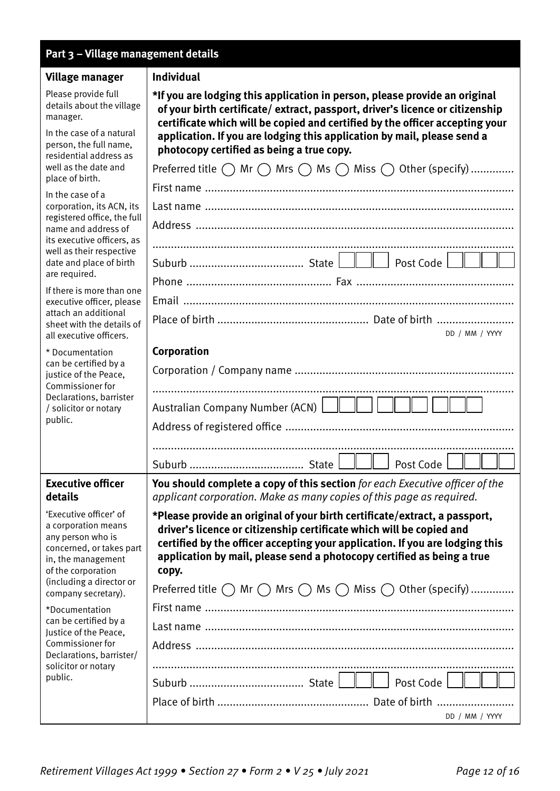| Part 3 - Village management details                                                                                                                                    |                                                                                                                                                                                                                                                                                                                       |  |
|------------------------------------------------------------------------------------------------------------------------------------------------------------------------|-----------------------------------------------------------------------------------------------------------------------------------------------------------------------------------------------------------------------------------------------------------------------------------------------------------------------|--|
| Village manager                                                                                                                                                        | <b>Individual</b>                                                                                                                                                                                                                                                                                                     |  |
| Please provide full<br>details about the village<br>manager.                                                                                                           | *If you are lodging this application in person, please provide an original<br>of your birth certificate/extract, passport, driver's licence or citizenship<br>certificate which will be copied and certified by the officer accepting your                                                                            |  |
| In the case of a natural<br>person, the full name,<br>residential address as<br>well as the date and<br>place of birth.                                                | application. If you are lodging this application by mail, please send a<br>photocopy certified as being a true copy.                                                                                                                                                                                                  |  |
|                                                                                                                                                                        | Preferred title $\bigcirc$ Mr $\bigcirc$ Mrs $\bigcirc$ Ms $\bigcirc$ Miss $\bigcirc$ Other (specify)                                                                                                                                                                                                                 |  |
| In the case of a                                                                                                                                                       |                                                                                                                                                                                                                                                                                                                       |  |
| corporation, its ACN, its<br>registered office, the full<br>name and address of<br>its executive officers, as                                                          |                                                                                                                                                                                                                                                                                                                       |  |
|                                                                                                                                                                        |                                                                                                                                                                                                                                                                                                                       |  |
| well as their respective<br>date and place of birth                                                                                                                    |                                                                                                                                                                                                                                                                                                                       |  |
| are required.                                                                                                                                                          |                                                                                                                                                                                                                                                                                                                       |  |
| If there is more than one<br>executive officer, please                                                                                                                 |                                                                                                                                                                                                                                                                                                                       |  |
| attach an additional<br>sheet with the details of<br>all executive officers.                                                                                           | DD / MM / YYYY                                                                                                                                                                                                                                                                                                        |  |
| * Documentation                                                                                                                                                        | Corporation                                                                                                                                                                                                                                                                                                           |  |
| can be certified by a<br>justice of the Peace,                                                                                                                         |                                                                                                                                                                                                                                                                                                                       |  |
| Commissioner for<br>Declarations, barrister                                                                                                                            |                                                                                                                                                                                                                                                                                                                       |  |
| / solicitor or notary                                                                                                                                                  | Australian Company Number (ACN)                                                                                                                                                                                                                                                                                       |  |
| public.                                                                                                                                                                |                                                                                                                                                                                                                                                                                                                       |  |
|                                                                                                                                                                        | $\mathbf{I}$ $\mathbf{I}$                                                                                                                                                                                                                                                                                             |  |
|                                                                                                                                                                        | Post Code                                                                                                                                                                                                                                                                                                             |  |
| <b>Executive officer</b><br>details                                                                                                                                    | You should complete a copy of this section for each Executive officer of the<br>applicant corporation. Make as many copies of this page as required.                                                                                                                                                                  |  |
| 'Executive officer' of<br>a corporation means<br>any person who is<br>concerned, or takes part<br>in, the management<br>of the corporation<br>(including a director or | *Please provide an original of your birth certificate/extract, a passport,<br>driver's licence or citizenship certificate which will be copied and<br>certified by the officer accepting your application. If you are lodging this<br>application by mail, please send a photocopy certified as being a true<br>copy. |  |
| company secretary).                                                                                                                                                    | Preferred title $\bigcirc$ Mr $\bigcirc$ Mrs $\bigcirc$ Ms $\bigcirc$ Miss $\bigcirc$ Other (specify)                                                                                                                                                                                                                 |  |
| *Documentation<br>can be certified by a                                                                                                                                |                                                                                                                                                                                                                                                                                                                       |  |
| Justice of the Peace,<br>Commissioner for<br>Declarations, barrister/<br>solicitor or notary<br>public.                                                                |                                                                                                                                                                                                                                                                                                                       |  |
|                                                                                                                                                                        |                                                                                                                                                                                                                                                                                                                       |  |
|                                                                                                                                                                        |                                                                                                                                                                                                                                                                                                                       |  |
|                                                                                                                                                                        | DD / MM / YYYY                                                                                                                                                                                                                                                                                                        |  |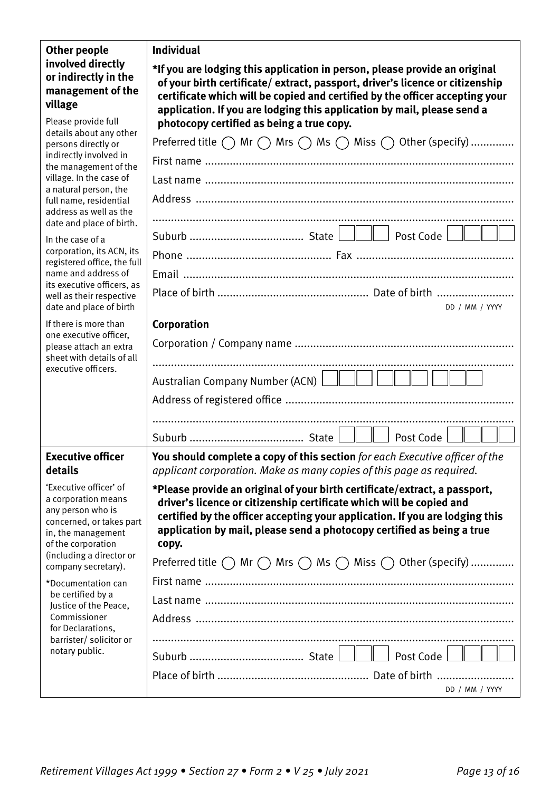| <b>Other people</b><br>involved directly<br>or indirectly in the<br>management of the<br>village                                                                                              | <b>Individual</b>                                                                                                                                                                                                                                                                                                                                                                                                              |
|-----------------------------------------------------------------------------------------------------------------------------------------------------------------------------------------------|--------------------------------------------------------------------------------------------------------------------------------------------------------------------------------------------------------------------------------------------------------------------------------------------------------------------------------------------------------------------------------------------------------------------------------|
|                                                                                                                                                                                               | *If you are lodging this application in person, please provide an original<br>of your birth certificate/extract, passport, driver's licence or citizenship<br>certificate which will be copied and certified by the officer accepting your<br>application. If you are lodging this application by mail, please send a                                                                                                          |
| Please provide full<br>details about any other                                                                                                                                                | photocopy certified as being a true copy.                                                                                                                                                                                                                                                                                                                                                                                      |
| persons directly or                                                                                                                                                                           | Preferred title $\bigcap$ Mr $\bigcap$ Mrs $\bigcap$ Ms $\bigcap$ Miss $\bigcap$ Other (specify)                                                                                                                                                                                                                                                                                                                               |
| indirectly involved in<br>the management of the                                                                                                                                               |                                                                                                                                                                                                                                                                                                                                                                                                                                |
| village. In the case of<br>a natural person, the                                                                                                                                              |                                                                                                                                                                                                                                                                                                                                                                                                                                |
| full name, residential<br>address as well as the                                                                                                                                              |                                                                                                                                                                                                                                                                                                                                                                                                                                |
| date and place of birth.                                                                                                                                                                      |                                                                                                                                                                                                                                                                                                                                                                                                                                |
| In the case of a                                                                                                                                                                              |                                                                                                                                                                                                                                                                                                                                                                                                                                |
| corporation, its ACN, its<br>registered office, the full                                                                                                                                      |                                                                                                                                                                                                                                                                                                                                                                                                                                |
| name and address of<br>its executive officers, as                                                                                                                                             |                                                                                                                                                                                                                                                                                                                                                                                                                                |
| well as their respective<br>date and place of birth                                                                                                                                           | DD / MM / YYYY                                                                                                                                                                                                                                                                                                                                                                                                                 |
| If there is more than                                                                                                                                                                         | Corporation                                                                                                                                                                                                                                                                                                                                                                                                                    |
| one executive officer,<br>please attach an extra<br>sheet with details of all<br>executive officers.                                                                                          |                                                                                                                                                                                                                                                                                                                                                                                                                                |
|                                                                                                                                                                                               | Australian Company Number (ACN) $\Box$ $\Box$ $\Box$                                                                                                                                                                                                                                                                                                                                                                           |
|                                                                                                                                                                                               |                                                                                                                                                                                                                                                                                                                                                                                                                                |
|                                                                                                                                                                                               |                                                                                                                                                                                                                                                                                                                                                                                                                                |
|                                                                                                                                                                                               | Post Code                                                                                                                                                                                                                                                                                                                                                                                                                      |
| <b>Executive officer</b><br>details                                                                                                                                                           | You should complete a copy of this section for each Executive officer of the<br>applicant corporation. Make as many copies of this page as required.                                                                                                                                                                                                                                                                           |
| 'Executive officer' of<br>a corporation means<br>any person who is<br>concerned, or takes part<br>in, the management<br>of the corporation<br>(including a director or<br>company secretary). | *Please provide an original of your birth certificate/extract, a passport,<br>driver's licence or citizenship certificate which will be copied and<br>certified by the officer accepting your application. If you are lodging this<br>application by mail, please send a photocopy certified as being a true<br>copy.<br>Preferred title $\bigcirc$ Mr $\bigcirc$ Mrs $\bigcirc$ Ms $\bigcirc$ Miss $\bigcirc$ Other (specify) |
| *Documentation can                                                                                                                                                                            |                                                                                                                                                                                                                                                                                                                                                                                                                                |
| be certified by a<br>Justice of the Peace,<br>Commissioner<br>for Declarations,<br>barrister/ solicitor or<br>notary public.                                                                  |                                                                                                                                                                                                                                                                                                                                                                                                                                |
|                                                                                                                                                                                               |                                                                                                                                                                                                                                                                                                                                                                                                                                |
|                                                                                                                                                                                               |                                                                                                                                                                                                                                                                                                                                                                                                                                |
|                                                                                                                                                                                               |                                                                                                                                                                                                                                                                                                                                                                                                                                |
|                                                                                                                                                                                               | DD / MM / YYYY                                                                                                                                                                                                                                                                                                                                                                                                                 |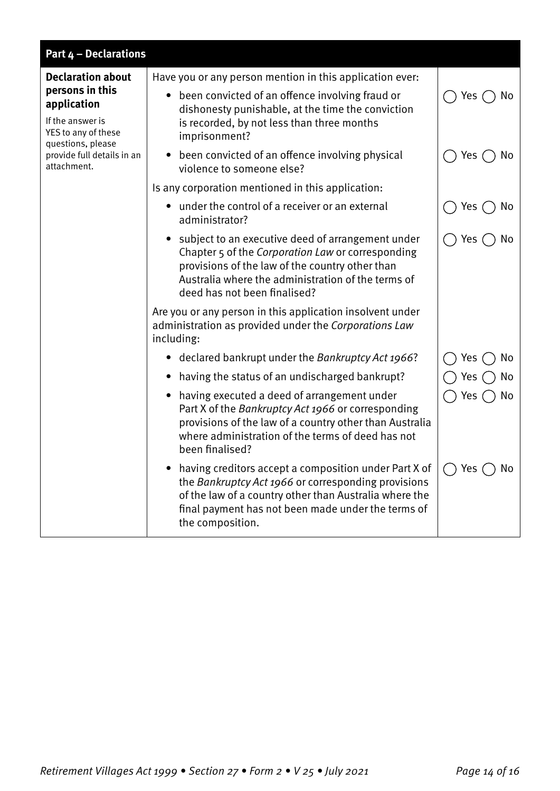| <b>Part 4 - Declarations</b>                                                                                                                                            |                                                                                                                                                                                                                                                  |                  |  |  |
|-------------------------------------------------------------------------------------------------------------------------------------------------------------------------|--------------------------------------------------------------------------------------------------------------------------------------------------------------------------------------------------------------------------------------------------|------------------|--|--|
| <b>Declaration about</b><br>persons in this<br>application<br>If the answer is<br>YES to any of these<br>questions, please<br>provide full details in an<br>attachment. | Have you or any person mention in this application ever:                                                                                                                                                                                         |                  |  |  |
|                                                                                                                                                                         | • been convicted of an offence involving fraud or<br>dishonesty punishable, at the time the conviction<br>is recorded, by not less than three months<br>imprisonment?                                                                            | Yes<br>No        |  |  |
|                                                                                                                                                                         | • been convicted of an offence involving physical<br>violence to someone else?                                                                                                                                                                   | Yes<br>No        |  |  |
|                                                                                                                                                                         | Is any corporation mentioned in this application:                                                                                                                                                                                                |                  |  |  |
|                                                                                                                                                                         | under the control of a receiver or an external<br>administrator?                                                                                                                                                                                 | Yes<br>No        |  |  |
|                                                                                                                                                                         | subject to an executive deed of arrangement under<br>Chapter 5 of the Corporation Law or corresponding<br>provisions of the law of the country other than<br>Australia where the administration of the terms of<br>deed has not been finalised?  | Yes<br>No        |  |  |
|                                                                                                                                                                         | Are you or any person in this application insolvent under<br>administration as provided under the Corporations Law<br>including:                                                                                                                 |                  |  |  |
|                                                                                                                                                                         | • declared bankrupt under the Bankruptcy Act 1966?                                                                                                                                                                                               | No<br>Yes        |  |  |
|                                                                                                                                                                         | having the status of an undischarged bankrupt?                                                                                                                                                                                                   | No<br><b>Yes</b> |  |  |
|                                                                                                                                                                         | having executed a deed of arrangement under<br>Part X of the Bankruptcy Act 1966 or corresponding<br>provisions of the law of a country other than Australia<br>where administration of the terms of deed has not<br>been finalised?             | No<br>Yes        |  |  |
|                                                                                                                                                                         | having creditors accept a composition under Part X of<br>the Bankruptcy Act 1966 or corresponding provisions<br>of the law of a country other than Australia where the<br>final payment has not been made under the terms of<br>the composition. | No<br>Yes        |  |  |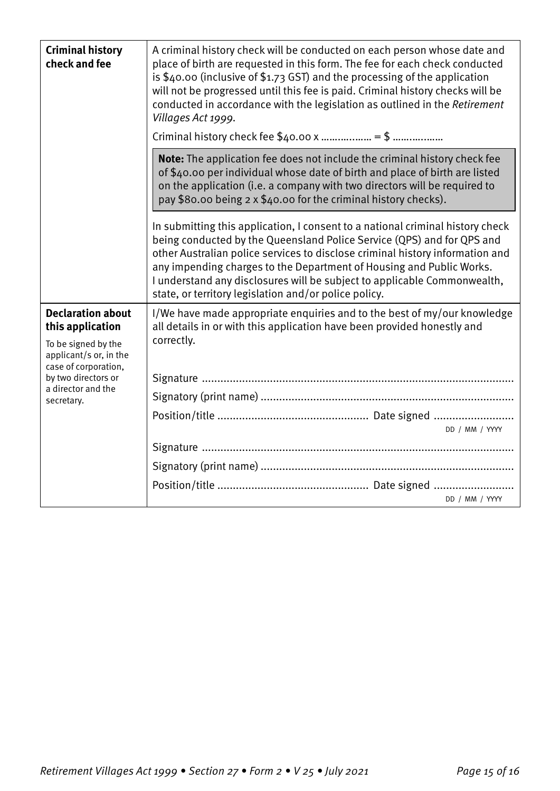| <b>Criminal history</b><br>check and fee                                                                                                                                         | A criminal history check will be conducted on each person whose date and<br>place of birth are requested in this form. The fee for each check conducted<br>is \$40.00 (inclusive of \$1.73 GST) and the processing of the application<br>will not be progressed until this fee is paid. Criminal history checks will be<br>conducted in accordance with the legislation as outlined in the Retirement<br>Villages Act 1999.                            |
|----------------------------------------------------------------------------------------------------------------------------------------------------------------------------------|--------------------------------------------------------------------------------------------------------------------------------------------------------------------------------------------------------------------------------------------------------------------------------------------------------------------------------------------------------------------------------------------------------------------------------------------------------|
|                                                                                                                                                                                  | Note: The application fee does not include the criminal history check fee<br>of \$40.00 per individual whose date of birth and place of birth are listed<br>on the application (i.e. a company with two directors will be required to<br>pay \$80.00 being 2 x \$40.00 for the criminal history checks).                                                                                                                                               |
|                                                                                                                                                                                  | In submitting this application, I consent to a national criminal history check<br>being conducted by the Queensland Police Service (QPS) and for QPS and<br>other Australian police services to disclose criminal history information and<br>any impending charges to the Department of Housing and Public Works.<br>I understand any disclosures will be subject to applicable Commonwealth,<br>state, or territory legislation and/or police policy. |
| <b>Declaration about</b><br>this application<br>To be signed by the<br>applicant/s or, in the<br>case of corporation,<br>by two directors or<br>a director and the<br>secretary. | I/We have made appropriate enquiries and to the best of my/our knowledge<br>all details in or with this application have been provided honestly and<br>correctly.<br>DD / MM / YYYY<br>DD / MM / YYYY                                                                                                                                                                                                                                                  |